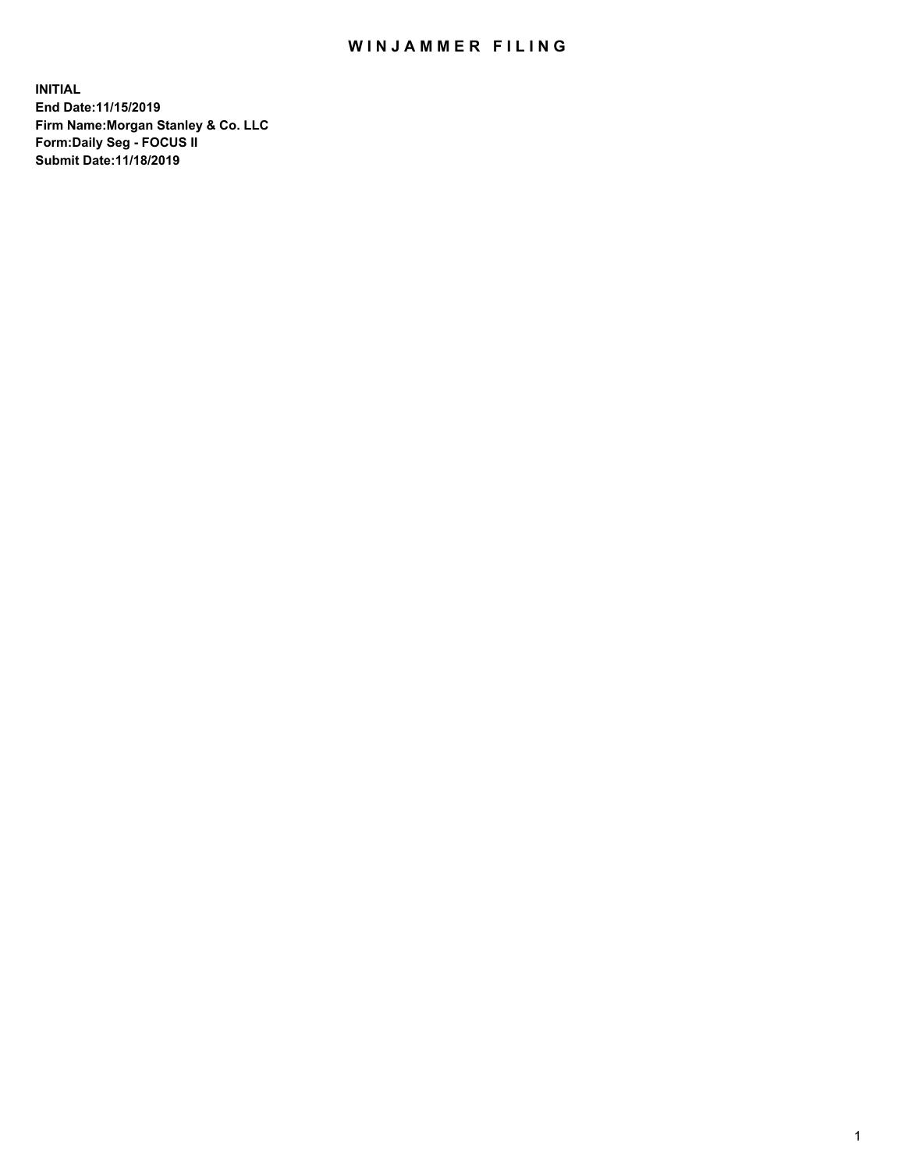## WIN JAMMER FILING

**INITIAL End Date:11/15/2019 Firm Name:Morgan Stanley & Co. LLC Form:Daily Seg - FOCUS II Submit Date:11/18/2019**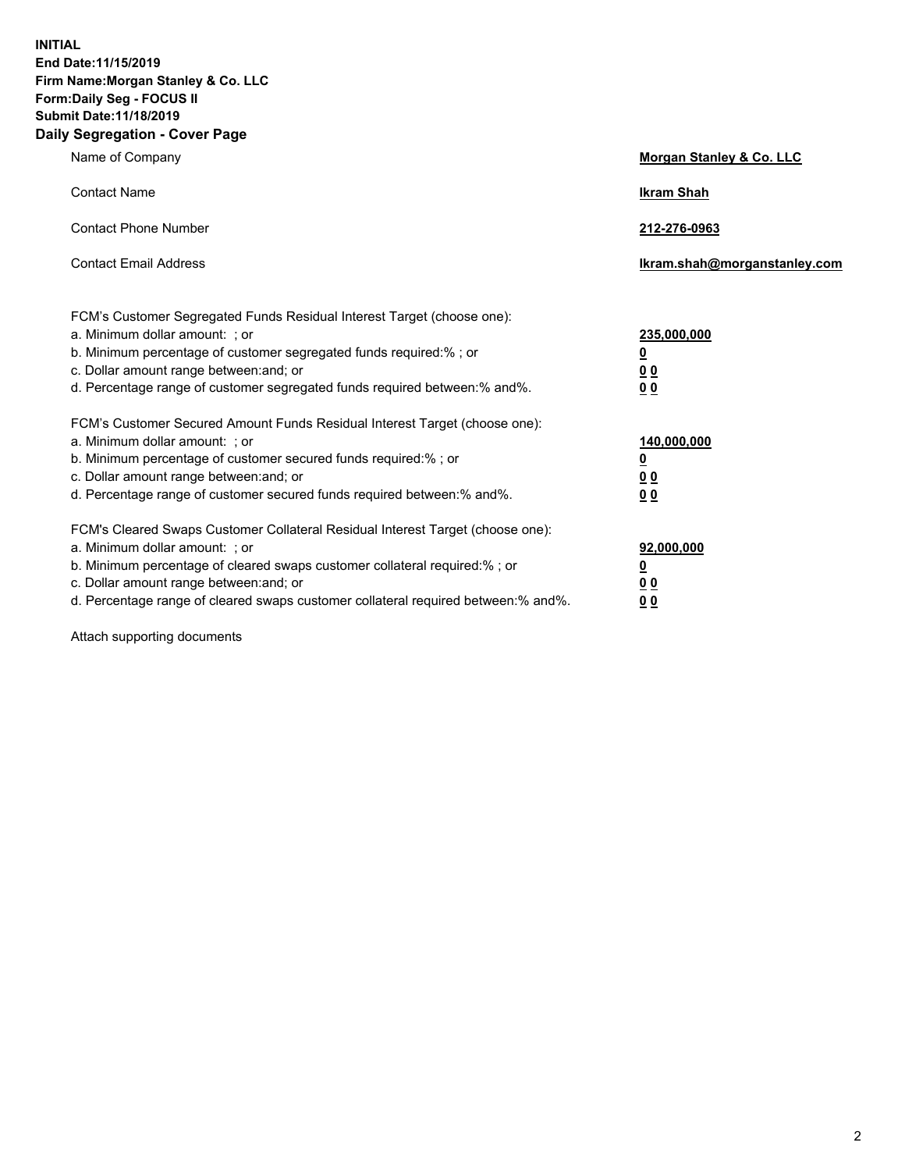**INITIAL End Date:11/15/2019 Firm Name:Morgan Stanley & Co. LLC Form:Daily Seg - FOCUS II Submit Date:11/18/2019 Daily Segregation - Cover Page**

| Name of Company                                                                                                                                                                                                                                                                                                                | Morgan Stanley & Co. LLC                               |
|--------------------------------------------------------------------------------------------------------------------------------------------------------------------------------------------------------------------------------------------------------------------------------------------------------------------------------|--------------------------------------------------------|
| <b>Contact Name</b>                                                                                                                                                                                                                                                                                                            | <b>Ikram Shah</b>                                      |
| <b>Contact Phone Number</b>                                                                                                                                                                                                                                                                                                    | 212-276-0963                                           |
| <b>Contact Email Address</b>                                                                                                                                                                                                                                                                                                   | Ikram.shah@morganstanley.com                           |
| FCM's Customer Segregated Funds Residual Interest Target (choose one):<br>a. Minimum dollar amount: : or<br>b. Minimum percentage of customer segregated funds required:% ; or<br>c. Dollar amount range between: and; or<br>d. Percentage range of customer segregated funds required between:% and%.                         | 235,000,000<br><u>0</u><br>0 <sub>0</sub><br><u>00</u> |
| FCM's Customer Secured Amount Funds Residual Interest Target (choose one):<br>a. Minimum dollar amount: ; or<br>b. Minimum percentage of customer secured funds required:% ; or<br>c. Dollar amount range between: and; or<br>d. Percentage range of customer secured funds required between:% and%.                           | 140,000,000<br><u>0</u><br><u>00</u><br>0 <sub>0</sub> |
| FCM's Cleared Swaps Customer Collateral Residual Interest Target (choose one):<br>a. Minimum dollar amount: ; or<br>b. Minimum percentage of cleared swaps customer collateral required:% ; or<br>c. Dollar amount range between: and; or<br>d. Percentage range of cleared swaps customer collateral required between:% and%. | 92,000,000<br><u>0</u><br><u>00</u><br>0 <sub>0</sub>  |

Attach supporting documents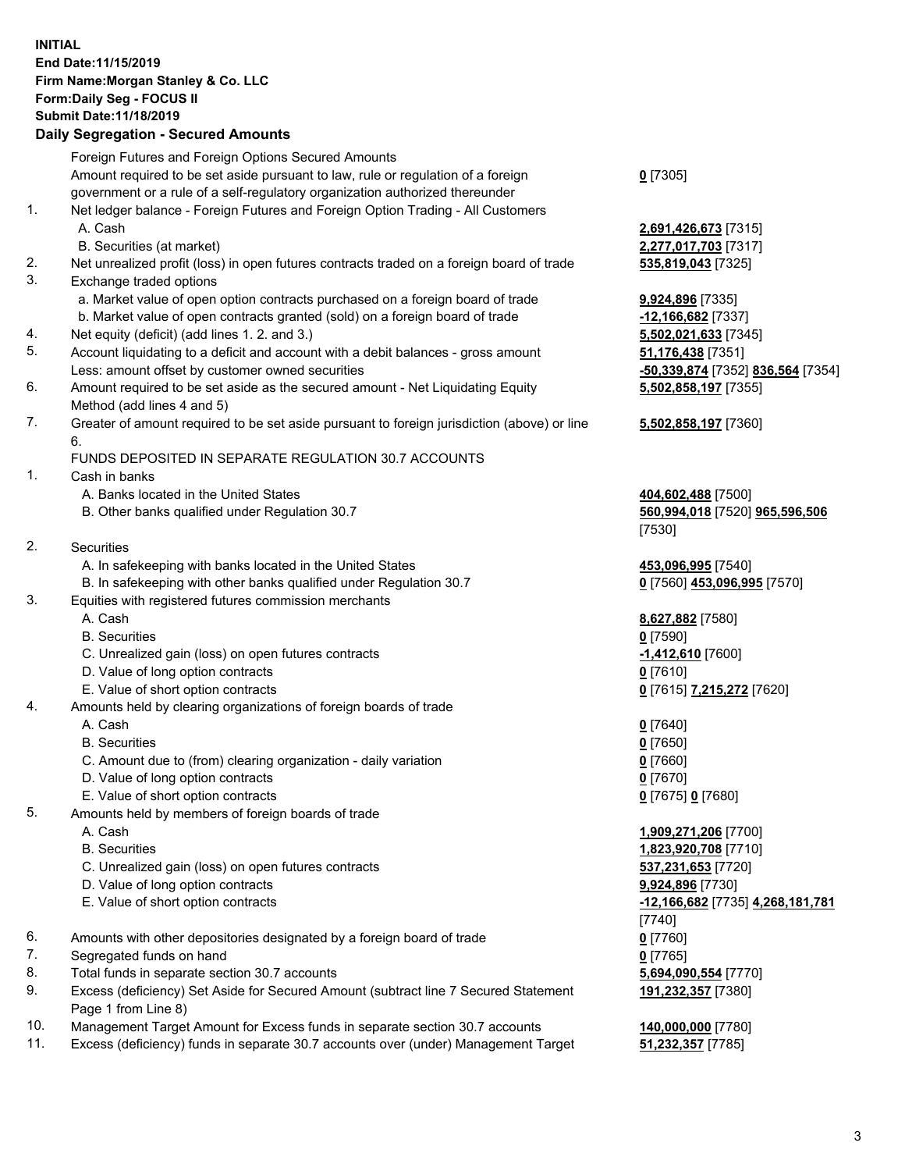## **INITIAL End Date:11/15/2019 Firm Name:Morgan Stanley & Co. LLC Form:Daily Seg - FOCUS II Submit Date:11/18/2019**

## **Daily Segregation - Secured Amounts**

|    | Foreign Futures and Foreign Options Secured Amounts                                         |                                  |
|----|---------------------------------------------------------------------------------------------|----------------------------------|
|    | Amount required to be set aside pursuant to law, rule or regulation of a foreign            | $0$ [7305]                       |
|    | government or a rule of a self-regulatory organization authorized thereunder                |                                  |
| 1. | Net ledger balance - Foreign Futures and Foreign Option Trading - All Customers             |                                  |
|    | A. Cash                                                                                     | 2,691,426,673 [7315]             |
|    | B. Securities (at market)                                                                   | 2,277,017,703 [7317]             |
| 2. | Net unrealized profit (loss) in open futures contracts traded on a foreign board of trade   | 535,819,043 [7325]               |
| 3. | Exchange traded options                                                                     |                                  |
|    | a. Market value of open option contracts purchased on a foreign board of trade              | 9,924,896 [7335]                 |
|    | b. Market value of open contracts granted (sold) on a foreign board of trade                | -12,166,682 [7337]               |
| 4. | Net equity (deficit) (add lines 1.2. and 3.)                                                | 5,502,021,633 [7345]             |
| 5. | Account liquidating to a deficit and account with a debit balances - gross amount           | <b>51,176,438</b> [7351]         |
|    | Less: amount offset by customer owned securities                                            | <u>-50,339,874</u> [7352] 836,56 |
| 6. | Amount required to be set aside as the secured amount - Net Liquidating Equity              | 5,502,858,197 [7355]             |
|    | Method (add lines 4 and 5)                                                                  |                                  |
| 7. | Greater of amount required to be set aside pursuant to foreign jurisdiction (above) or line | 5,502,858,197 [7360]             |
|    | 6.                                                                                          |                                  |
|    | FUNDS DEPOSITED IN SEPARATE REGULATION 30.7 ACCOUNTS                                        |                                  |
| 1. | Cash in banks                                                                               |                                  |
|    | A. Banks located in the United States                                                       | 404,602,488 [7500]               |
|    | B. Other banks qualified under Regulation 30.7                                              | 560,994,018 [7520] 965,5         |
|    |                                                                                             | [7530]                           |
| 2. | Securities                                                                                  |                                  |
|    | A. In safekeeping with banks located in the United States                                   | 453,096,995 [7540]               |
|    | B. In safekeeping with other banks qualified under Regulation 30.7                          | 0 [7560] 453,096,995 [757        |
| 3. | Equities with registered futures commission merchants                                       |                                  |
|    | A. Cash                                                                                     | 8,627,882 [7580]                 |
|    | <b>B.</b> Securities                                                                        | $0$ [7590]                       |
|    | C. Unrealized gain (loss) on open futures contracts                                         | -1,412,610 [7600]                |
|    | D. Value of long option contracts                                                           | $0$ [7610]                       |
|    | E. Value of short option contracts                                                          | 0 [7615] 7,215,272 [7620]        |
| 4. | Amounts held by clearing organizations of foreign boards of trade                           |                                  |
|    | A. Cash                                                                                     | $0$ [7640]                       |
|    | <b>B.</b> Securities                                                                        | $0$ [7650]                       |
|    | C. Amount due to (from) clearing organization - daily variation                             | $0$ [7660]                       |
|    | D. Value of long option contracts                                                           | $0$ [7670]                       |
|    | E. Value of short option contracts                                                          | 0 [7675] 0 [7680]                |
| 5. | Amounts held by members of foreign boards of trade                                          |                                  |
|    | A. Cash                                                                                     | 1,909,271,206 [7700]             |
|    | <b>B.</b> Securities                                                                        | 1,823,920,708 [7710]             |
|    | C. Unrealized gain (loss) on open futures contracts                                         | 537,231,653 [7720]               |
|    | D. Value of long option contracts                                                           | 9,924,896 [7730]                 |
|    | E. Value of short option contracts                                                          | <u>-12,166,682</u> [7735] 4,268, |
|    |                                                                                             | [7740]                           |
| 6. | Amounts with other depositories designated by a foreign board of trade                      | $0$ [7760]                       |
| 7. | Segregated funds on hand                                                                    | $0$ [7765]                       |
| 8. | Total funds in separate section 30.7 accounts                                               | 5,694,090,554 [7770]             |
| 9. | Excess (deficiency) Set Aside for Secured Amount (subtract line 7 Secured Statement         | 191,232,357 [7380]               |
|    | Page 1 from Line 8)                                                                         |                                  |
|    |                                                                                             |                                  |

- 10. Management Target Amount for Excess funds in separate section 30.7 accounts **140,000,000** [7780]
- 11. Excess (deficiency) funds in separate 30.7 accounts over (under) Management Target **51,232,357** [7785]

Less: amount offset by customer owned securities **-50,339,874** [7352] **836,564** [7354] **5,502,858,197** [7355]

## **5,502,858,197** [7360]

B. Other banks qualified under Regulation 30.7 **560,994,018** [7520] **965,596,506**

8.995 [7570]

**E. 25. Value of short of short of short of short of short of short of short of short of short of short of short of short of short of short of short of short of short of short of short of short of short of short of short o 191,232,357** [7380]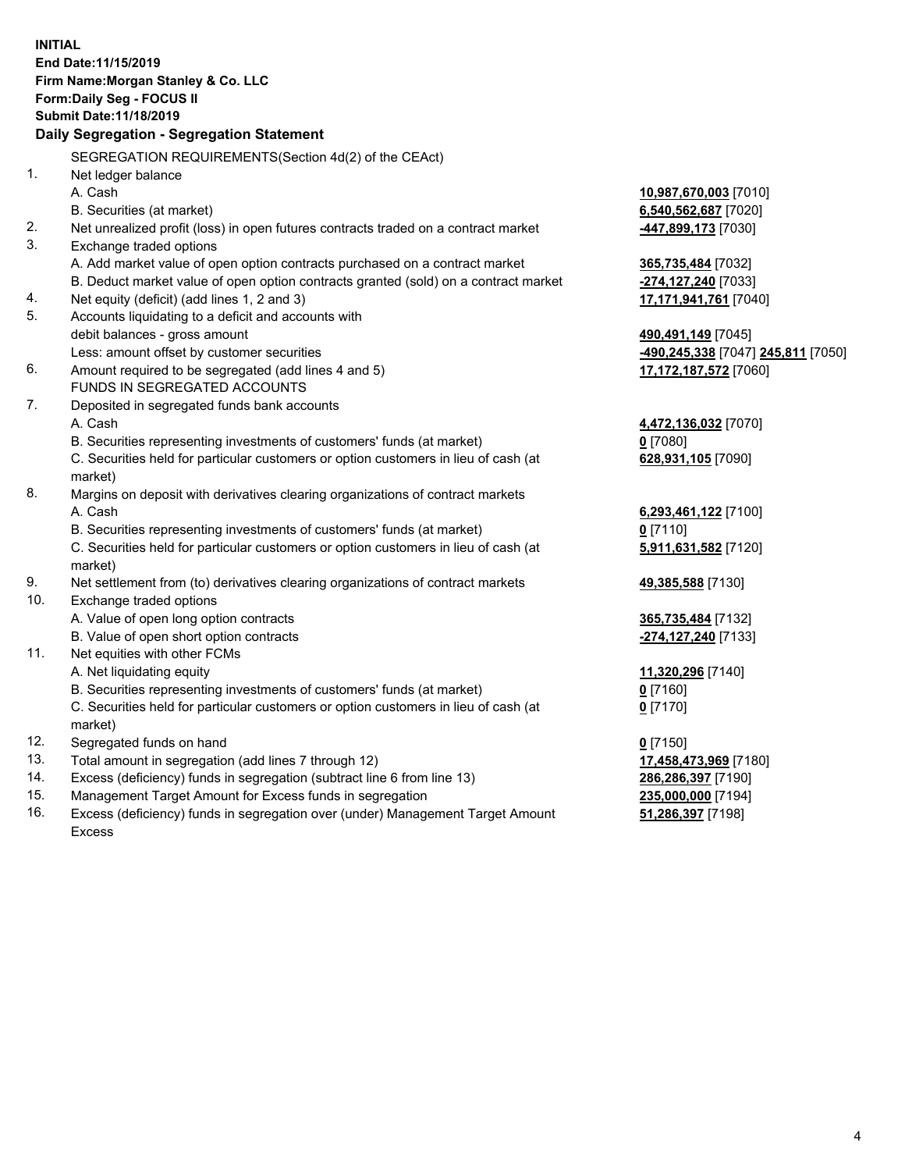| <b>INITIAL</b><br>End Date: 11/15/2019<br>Firm Name: Morgan Stanley & Co. LLC<br>Form: Daily Seg - FOCUS II<br><b>Submit Date: 11/18/2019</b><br>Daily Segregation - Segregation Statement |                                    |
|--------------------------------------------------------------------------------------------------------------------------------------------------------------------------------------------|------------------------------------|
| SEGREGATION REQUIREMENTS(Section 4d(2) of the CEAct)                                                                                                                                       |                                    |
| 1.<br>Net ledger balance                                                                                                                                                                   |                                    |
| A. Cash                                                                                                                                                                                    | 10,987,670,003 [7010]              |
| B. Securities (at market)                                                                                                                                                                  | 6,540,562,687 [7020]               |
| 2.<br>Net unrealized profit (loss) in open futures contracts traded on a contract market                                                                                                   | 447,899,173 [7030]                 |
| 3.<br>Exchange traded options                                                                                                                                                              |                                    |
| A. Add market value of open option contracts purchased on a contract market                                                                                                                | 365,735,484 [7032]                 |
| B. Deduct market value of open option contracts granted (sold) on a contract market                                                                                                        | -274,127,240 [7033]                |
| Net equity (deficit) (add lines 1, 2 and 3)<br>4.                                                                                                                                          | 17,171,941,761 [7040]              |
| 5.<br>Accounts liquidating to a deficit and accounts with                                                                                                                                  |                                    |
| debit balances - gross amount                                                                                                                                                              | 490,491,149 [7045]                 |
| Less: amount offset by customer securities                                                                                                                                                 | -490,245,338 [7047] 245,811 [7050] |
| 6.<br>Amount required to be segregated (add lines 4 and 5)                                                                                                                                 | 17,172,187,572 [7060]              |
| FUNDS IN SEGREGATED ACCOUNTS                                                                                                                                                               |                                    |
| 7.<br>Deposited in segregated funds bank accounts                                                                                                                                          |                                    |
| A. Cash                                                                                                                                                                                    | 4,472,136,032 [7070]               |
| B. Securities representing investments of customers' funds (at market)                                                                                                                     | $0$ [7080]                         |
| C. Securities held for particular customers or option customers in lieu of cash (at                                                                                                        | 628,931,105 [7090]                 |
| market)                                                                                                                                                                                    |                                    |
| 8.<br>Margins on deposit with derivatives clearing organizations of contract markets                                                                                                       |                                    |
| A. Cash                                                                                                                                                                                    | 6,293,461,122 [7100]               |
| B. Securities representing investments of customers' funds (at market)                                                                                                                     | $0$ [7110]                         |
| C. Securities held for particular customers or option customers in lieu of cash (at<br>market)                                                                                             | 5,911,631,582 [7120]               |
| 9.<br>Net settlement from (to) derivatives clearing organizations of contract markets                                                                                                      | 49,385,588 [7130]                  |
| 10.<br>Exchange traded options                                                                                                                                                             |                                    |
| A. Value of open long option contracts                                                                                                                                                     | 365,735,484 [7132]                 |
| B. Value of open short option contracts                                                                                                                                                    | -274,127,240 [7133]                |
| 11.<br>Net equities with other FCMs                                                                                                                                                        |                                    |
| A. Net liquidating equity                                                                                                                                                                  | 11,320,296 [7140]                  |
| B. Securities representing investments of customers' funds (at market)                                                                                                                     | 0 [7160]                           |
| C. Securities held for particular customers or option customers in lieu of cash (at<br>market)                                                                                             | $0$ [7170]                         |
| 12.<br>Segregated funds on hand                                                                                                                                                            | $0$ [7150]                         |
| 13.<br>Total amount in segregation (add lines 7 through 12)                                                                                                                                | 17,458,473,969 [7180]              |
| 14.<br>Excess (deficiency) funds in segregation (subtract line 6 from line 13)                                                                                                             | 286,286,397 [7190]                 |
| 15.<br>Management Target Amount for Excess funds in segregation                                                                                                                            | 235,000,000 [7194]                 |
| 16.<br>Excess (deficiency) funds in segregation over (under) Management Target Amount                                                                                                      | 51,286,397 [7198]                  |

Excess